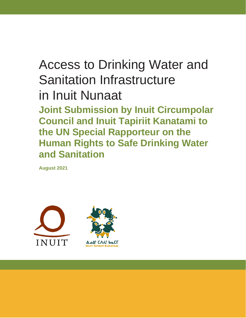# Access to Drinking Water and Sanitation Infrastructure in Inuit Nunaat **Joint Submission by Inuit Circumpolar Council and Inuit Tapiriit Kanatami to**

**the UN Special Rapporteur on the Human Rights to Safe Drinking Water and Sanitation**

**August 2021**

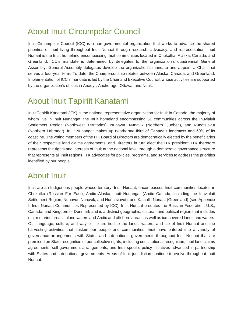## About Inuit Circumpolar Council

Inuit Circumpolar Council (ICC) is a non-governmental organization that works to advance the shared priorities of Inuit living throughout Inuit Nunaat through research, advocacy, and representation. Inuit Nunaat is the Inuit homeland encompassing Inuit communities located in Chukotka, Alaska, Canada, and Greenland. ICC's mandate is determined by delegates to the organization's quadrennial General Assembly. General Assembly delegates develop the organization's mandate and appoint a Chair that serves a four-year term. To date, the Chairpersonship rotates between Alaska, Canada, and Greenland. Implementation of ICC's mandate is led by the Chair and Executive Council, whose activities are supported by the organization's offices in Anadyr, Anchorage, Ottawa, and Nuuk.

### About Inuit Tapiriit Kanatami

Inuit Tapiriit Kanatami (ITK) is the national representative organization for Inuit in Canada, the majority of whom live in Inuit Nunangat, the Inuit homeland encompassing 51 communities across the Inuvialuit Settlement Region (Northwest Territories), Nunavut, Nunavik (Northern Quebec), and Nunatsiavut (Northern Labrador). Inuit Nunangat makes up nearly one-third of Canada's landmass and 50% of its coastline. The voting members of the ITK Board of Directors are democratically elected by the beneficiaries of their respective land claims agreements, and Directors in turn elect the ITK president. ITK therefore represents the rights and interests of Inuit at the national level through a democratic governance structure that represents all Inuit regions. ITK advocates for policies, programs, and services to address the priorities identified by our people.

### About Inuit

Inuit are an Indigenous people whose territory, Inuit Nunaat, encompasses Inuit communities located in Chukotka (Russian Far East), Arctic Alaska, Inuit Nunangat (Arctic Canada, including the Inuvialuit Settlement Region, Nunavut, Nunavik, and Nunatsiavut), and Kalaallit Nunaat (Greenland) (see Appendix I: Inuit Nunaat Communities Represented by ICC). Inuit Nunaat predates the Russian Federation, U.S., Canada, and Kingdom of Denmark and is a distinct geographic, cultural, and political region that includes major marine areas, inland waters and Arctic and offshore areas, as well as ice-covered lands and waters. Our language, culture, and way of life are tied to the lands, waters, and ice of Inuit Nunaat and the harvesting activities that sustain our people and communities. Inuit have entered into a variety of governance arrangements with States and sub-national governments throughout Inuit Nunaat that are premised on State recognition of our collective rights, including constitutional recognition, Inuit land claims agreements, self-government arrangements, and Inuit-specific policy initiatives advanced in partnership with States and sub-national governments. Areas of Inuit jurisdiction continue to evolve throughout Inuit Nunaat.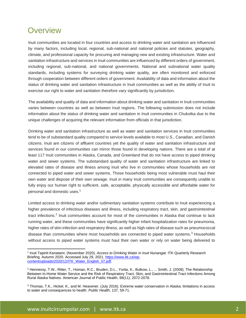### **Overview**

Inuit communities are located in four countries and access to drinking water and sanitation are influenced by many factors, including local, regional, sub-national and national policies and statutes, geography, climate, and professional capacity for procuring and managing new and existing infrastructure. Water and sanitation infrastructure and services in Inuit communities are influenced by different orders of government, including regional, sub-national, and national governments. National and subnational water quality standards, including systems for surveying drinking water quality, are often monitored and enforced through cooperation between different orders of government. Availability of data and information about the status of drinking water and sanitation infrastructure in Inuit communities as well as the ability of Inuit to exercise our right to water and sanitation therefore vary significantly by jurisdiction.

The availability and quality of data and information about drinking water and sanitation in Inuit communities varies between countries as well as between Inuit regions. The following submission does not include information about the status of drinking water and sanitation in Inuit communities in Chukotka due to the unique challenges of acquiring the relevant information from officials in that jurisdiction.

Drinking water and sanitation infrastructure as well as water and sanitation services in Inuit communities tend to be of substandard quality compared to service levels available to most U.S., Canadian, and Danish citizens. Inuit are citizens of affluent countries yet the quality of water and sanitation infrastructure and services found in our communities can mirror those found in developing nations. There are a total of at least 117 Inuit communities in Alaska, Canada, and Greenland that do not have access to piped drinking water and sewer systems. The substandard quality of water and sanitation infrastructure are linked to elevated rates of disease and illness among Inuit who live in communities whose households are not connected to piped water and sewer systems. Those households being most vulnerable must haul their own water and dispose of their own sewage. Inuit in many Inuit communities are consequently unable to fully enjoy our human right to sufficient, safe, acceptable, physically accessible and affordable water for personal and domestic uses.<sup>1</sup>

Limited access to drinking water and/or rudimentary sanitation systems contribute to Inuit experiencing a higher prevalence of infectious diseases and illness, including respiratory tract, skin, and gastrointestinal tract infections.<sup>2</sup> Inuit communities account for most of the communities in Alaska that continue to lack running water, and these communities have significantly higher infant hospitalization rates for pneumonia, higher rates of skin infection and respiratory illness, as well as high rates of disease such as pneumococcal disease than communities where most households are connected to piped water systems.<sup>3</sup> Households without access to piped water systems must haul their own water or rely on water being delivered to

<sup>&</sup>lt;sup>1</sup> Inuit Tapiriit Kanatami. (November 2020). *Access to Drinking Water in Inuit Nunangat.* ITK Quarterly Research Briefing. Autumn 2020. Accessed July 29, 2021, [https://www.itk.ca/wp](https://www.itk.ca/wp-content/uploads/2020/12/ITK_Water_English_07.pdf)[content/uploads/2020/12/ITK\\_Water\\_English\\_07.pdf.](https://www.itk.ca/wp-content/uploads/2020/12/ITK_Water_English_07.pdf)

<sup>2</sup> Hennessy, T.W., Ritter, T., Homan, R.C., Bruden, D.L., Yorita, K., Bulkow, L., ... Smith, J. (2008). The Relationship Between In-Home Water Service and the Risk of Respiratory Tract, Skin, and Gastrointestinal Tract Infections Among Rural Alaska Natives. American Journal of Public Health, 98(11), 2072-2078.

<sup>3</sup> Thomas, T.K., Hickel, K., and M. Heavener. (July 2016). Extreme water conservation in Alaska: limitations in access to water and consequences to health. *Public Health*, 137, 59-71.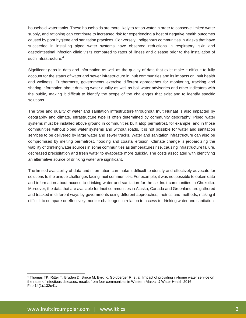household water tanks. These households are more likely to ration water in order to conserve limited water supply, and rationing can contribute to increased risk for experiencing a host of negative health outcomes caused by poor hygiene and sanitation practices. Conversely, Indigenous communities in Alaska that have succeeded in installing piped water systems have observed reductions in respiratory, skin and gastrointestinal infection clinic visits compared to rates of illness and disease prior to the installation of such infrastructure.<sup>4</sup>

Significant gaps in data and information as well as the quality of data that exist make it difficult to fully account for the status of water and sewer infrastructure in Inuit communities and its impacts on Inuit health and wellness. Furthermore, governments exercise different approaches for monitoring, tracking and sharing information about drinking water quality as well as boil water advisories and other indicators with the public, making it difficult to identify the scope of the challenges that exist and to identify specific solutions.

The type and quality of water and sanitation infrastructure throughout Inuit Nunaat is also impacted by geography and climate. Infrastructure type is often determined by community geography. Piped water systems must be installed above ground in communities built atop permafrost, for example, and in those communities without piped water systems and without roads, it is not possible for water and sanitation services to be delivered by large water and sewer trucks. Water and sanitation infrastructure can also be compromised by melting permafrost, flooding and coastal erosion. Climate change is jeopardizing the viability of drinking water sources in some communities as temperatures rise, causing infrastructure failure, decreased precipitation and fresh water to evaporate more quickly. The costs associated with identifying an alternative source of drinking water are significant.

The limited availability of data and information can make it difficult to identify and effectively advocate for solutions to the unique challenges facing Inuit communities. For example, it was not possible to obtain data and information about access to drinking water and sanitation for the six Inuit communities in Chukotka. Moreover, the data that are available for Inuit communities in Alaska, Canada and Greenland are gathered and tracked in different ways by governments using different approaches, metrics and methods, making it difficult to compare or effectively monitor challenges in relation to access to drinking water and sanitation.

<sup>4</sup> Thomas TK, Ritter T, Bruden D, Bruce M, Byrd K, Goldberger R, et al. Impact of providing in-home water service on the rates of infectious diseases: results from four communities in Western Alaska. J Water Health 2016 Feb;14(1):132e41.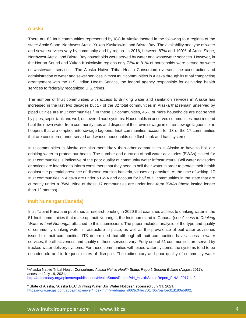#### **Alaska**

There are 82 Inuit communities represented by ICC in Alaska located in the following four regions of the state: Arctic Slope, Northwest Arctic, Yukon-Kuskokwim, and Bristol Bay. The availability and type of water and sewer services vary by community and by region. In 2016, between 87% and 100% of Arctic Slope, Northwest Arctic, and Bristol Bay households were served by water and wastewater services. However, in the Norton Sound and Yukon-Kuskokwim regions only 73% to 81% of households were served by water or wastewater services.<sup>5</sup> The Alaska Native Tribal Health Consortium oversees the construction and administration of water and sewer services in most Inuit communities in Alaska through its tribal compacting arrangement with the U.S. Indian Health Service, the federal agency responsible for delivering health services to federally recognized U.S. tribes.

The number of Inuit communities with access to drinking water and sanitation services in Alaska has increased in the last two decades but 17 of the 32 total communities in Alaska that remain unserved by piped utilities are Inuit communities.<sup>6</sup> In these 17 communities, 45% or more households are not served by pipes, septic tank and well, or covered haul systems. Households in unserved communities must instead haul their own water from community taps and dispose of their own sewage in either sewage lagoons or in hoppers that are emptied into sewage lagoons. Inuit communities account for 13 of the 17 communities that are considered underserved and whose households use flush tank and haul systems.

Inuit communities in Alaska are also more likely than other communities in Alaska to have to boil our drinking water to protect our health. The number and duration of boil water advisories (BWAs) issued for Inuit communities is indicative of the poor quality of community water infrastructure. Boil water advisories or notices are intended to inform consumers that they need to boil their water in order to protect their health against the potential presence of disease-causing bacteria, viruses or parasites. At the time of writing, 17 Inuit communities in Alaska are under a BWA and account for half of all communities in the state that are currently under a BWA. Nine of those 17 communities are under long-term BWAs (those lasting longer than 12 months).

#### **Inuit Nunangat (Canada)**

Inuit Tapiriit Kanatami published a research briefing in 2020 that examines access to drinking water in the 51 Inuit communities that make up Inuit Nunangat, the Inuit homeland in Canada (see *Access to Drinking Water in Inuit Nunangat* attached to this submission). The paper includes analysis of the type and quality of community drinking water infrastructure in place, as well as the prevalence of boil water advisories issued for Inuit communities. ITK determined that although all Inuit communities have access to water services, the effectiveness and quality of those services vary. Forty one of 51 communities are served by trucked water delivery systems. For those communities with piped water systems, the systems tend to be decades old and in frequent states of disrepair. The rudimentary and poor quality of community water

<sup>55</sup>Alaska Native Tribal Health Consortium, *Alaska Native Health Status Report: Second Edition* (August 2017), accessed July 19, 2021,

[http://anthctoday.org/epicenter/publications/HealthStatusReport/AN\\_HealthStatusReport\\_FINAL2017.pdf.](http://anthctoday.org/epicenter/publications/HealthStatusReport/AN_HealthStatusReport_FINAL2017.pdf)

<sup>6</sup> State of Alaska, "Alaska DEC Drinking Water Boil Water Notices," accessed July 31, 2021, [https://www.arcgis.com/apps/mapviewer/index.html?webmap=d663c04ec7014657ba45e31d180e5902.](https://www.arcgis.com/apps/mapviewer/index.html?webmap=d663c04ec7014657ba45e31d180e5902)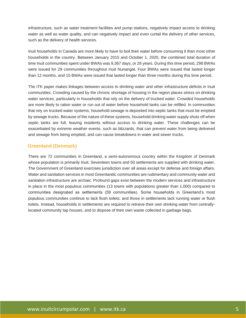infrastructure, such as water treatment facilities and pump stations, negatively impact access to drinking water as well as water quality, and can negatively impact and even curtail the delivery of other services, such as the delivery of health services.

Inuit households in Canada are more likely to have to boil their water before consuming it than most other households in the country. Between January 2015 and October 1, 2020, the combined total duration of time Inuit communities spent under BWAs was 9,367 days, or 26 years. During this time period, 298 BWAs were issued for 29 communities throughout Inuit Nunangat. Four BWAs were issued that lasted longer than 12 months, and 15 BWAs were issued that lasted longer than three months during this time period.

The ITK paper makes linkages between access to drinking water and other infrastructure deficits in Inuit communities. Crowding caused by the chronic shortage of housing in the region places stress on drinking water services, particularly in households that rely on the delivery of trucked water. Crowded households are more likely to ration water or run out of water before household tanks can be refilled. In communities that rely on trucked water systems, household sewage is deposited into septic tanks that must be emptied by sewage trucks. Because of the nature of these systems, household drinking water supply shuts off when septic tanks are full, leaving residents without access to drinking water. These challenges can be exacerbated by extreme weather events, such as blizzards, that can prevent water from being delivered and sewage from being emptied, and can cause breakdowns in water and sewer trucks.

#### **Greenland (Denmark)**

There are 72 communities in Greenland, a semi-autonomous country within the Kingdom of Denmark whose population is primarily Inuit. Seventeen towns and 50 settlements are supplied with drinking water. The Government of Greenland exercises jurisdiction over all areas except for defense and foreign affairs. Water and sanitation services in most Greenlandic communities are rudimentary and community water and sanitation infrastructure are archaic. Profound gaps exist between the modern services and infrastructure in place in the most populous communities (13 towns with populations greater than 1,000) compared to communities designated as settlements (59 communities). Some households in Greenland's most populous communities continue to lack flush toilets, and those in settlements lack running water or flush toilets. Instead, households in settlements are required to retrieve their own drinking water from centrallylocated community tap houses, and to dispose of their own waste collected in garbage bags.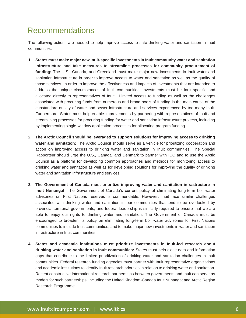### Recommendations

The following actions are needed to help improve access to safe drinking water and sanitation in Inuit communities.

- **1. States must make major new Inuit-specific investments in Inuit community water and sanitation infrastructure and take measures to streamline processes for community procurement of funding:** The U.S., Canada, and Greenland must make major new investments in Inuit water and sanitation infrastructure in order to improve access to water and sanitation as well as the quality of those services. In order to improve the effectiveness and impacts of investments that are intended to address the unique circumstances of Inuit communities, investments must be Inuit-specific and allocated directly to representatives of Inuit. Limited access to funding as well as the challenges associated with procuring funds from numerous and broad pools of funding is the main cause of the substandard quality of water and sewer infrastructure and services experienced by too many Inuit. Furthermore, States must help enable improvements by partnering with representatives of Inuit and streamlining processes for procuring funding for water and sanitation infrastructure projects, including by implementing single-window application processes for allocating program funding.
- **2. The Arctic Council should be leveraged to support solutions for improving access to drinking water and sanitation:** The Arctic Council should serve as a vehicle for prioritizing cooperation and action on improving access to drinking water and sanitation in Inuit communities. The Special Rapporteur should urge the U.S., Canada, and Denmark to partner with ICC and to use the Arctic Council as a platform for developing common approaches and methods for monitoring access to drinking water and sanitation as well as for developing solutions for improving the quality of drinking water and sanitation infrastructure and services.
- **3. The Government of Canada must prioritize improving water and sanitation infrastructure in Inuit Nunangat:** The Government of Canada's current policy of eliminating long-term boil water advisories on First Nations reserves is commendable. However, Inuit face similar challenges associated with drinking water and sanitation in our communities that tend to be overlooked by provincial-territorial governments, and federal leadership is similarly required to ensure that we are able to enjoy our rights to drinking water and sanitation. The Government of Canada must be encouraged to broaden its policy on eliminating long-term boil water advisories for First Nations communities to include Inuit communities, and to make major new investments in water and sanitation infrastructure in Inuit communities.
- **4. States and academic institutions must prioritize investments in Inuit-led research about drinking water and sanitation in Inuit communities:** States must help close data and information gaps that contribute to the limited prioritization of drinking water and sanitation challenges in Inuit communities. Federal research funding agencies must partner with Inuit representative organizations and academic institutions to identify Inuit research priorities in relation to drinking water and sanitation. Recent constructive international research partnerships between governments and Inuit can serve as models for such partnerships, including the United Kingdom-Canada Inuit Nunangat and Arctic Region Research Programme.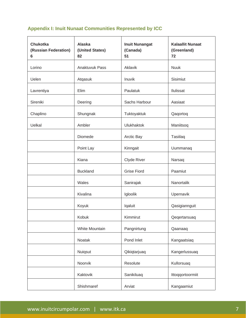### **Appendix I: Inuit Nunaat Communities Represented by ICC**

| <b>Chukotka</b><br>(Russian Federation)<br>6 | <b>Alaska</b><br>(United States)<br>82 | <b>Inuit Nunangat</b><br>(Canada)<br>51 | <b>Kalaallit Nunaat</b><br>(Greenland)<br>72 |
|----------------------------------------------|----------------------------------------|-----------------------------------------|----------------------------------------------|
| Lorino                                       | Anaktuvuk Pass                         | Aklavik                                 | <b>Nuuk</b>                                  |
| Uelen                                        | Atqasuk                                | Inuvik                                  | Sisimiut                                     |
| Lavrentiya                                   | Elim                                   | Paulatuk                                | Ilulissat                                    |
| Sireniki                                     | Deering                                | Sachs Harbour                           | Aasiaat                                      |
| Chaplino                                     | Shungnak                               | Tuktoyaktuk                             | Qaqortoq                                     |
| Uelkal                                       | Ambler                                 | <b>Ulukhaktok</b>                       | Maniitsoq                                    |
|                                              | Diomede                                | Arctic Bay                              | Tasiilaq                                     |
|                                              | Point Lay                              | Kinngait                                | Uummanaq                                     |
|                                              | Kiana                                  | Clyde River                             | Narsaq                                       |
|                                              | <b>Buckland</b>                        | <b>Grise Fiord</b>                      | Paamiut                                      |
|                                              | Wales                                  | Sanirajak                               | Nanortalik                                   |
|                                              | Kivalina                               | Igloolik                                | Upernavik                                    |
|                                              | Koyuk                                  | Iqaluit                                 | Qasigiannguit                                |
|                                              | Kobuk                                  | Kimmirut                                | Qeqertarsuaq                                 |
|                                              | White Mountain                         | Pangnirtung                             | Qaanaaq                                      |
|                                              | Noatak                                 | Pond Inlet                              | Kangaatsiaq                                  |
|                                              | Nuiqsut                                | Qikiqtarjuaq                            | Kangerlussuaq                                |
|                                              | Noorvik                                | Resolute                                | Kullorsuaq                                   |
|                                              | Kaktovik                               | Sanikiluaq                              | Ittoqqortoormiit                             |
|                                              | Shishmaref                             | Arviat                                  | Kangaamiut                                   |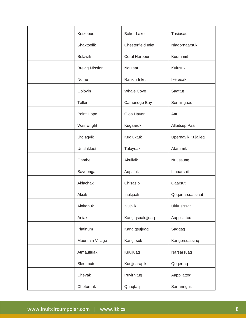| Kotzebue              | <b>Baker Lake</b>  | Tasiusaq           |
|-----------------------|--------------------|--------------------|
| Shaktoolik            | Chesterfield Inlet | Niaqornaarsuk      |
| Selawik               | Coral Harbour      | Kuummiit           |
| <b>Brevig Mission</b> | Naujaat            | Kulusuk            |
| Nome                  | Rankin Inlet       | Ikerasak           |
| Golovin               | <b>Whale Cove</b>  | Saattut            |
| Teller                | Cambridge Bay      | Sermiligaaq        |
| Point Hope            | Gjoa Haven         | Attu               |
| Wainwright            | Kugaaruk           | Alluitsup Paa      |
| Utqiaġvik             | Kugluktuk          | Upernavik Kujalleq |
| Unalakleet            | Taloyoak           | Atammik            |
| Gambell               | Akulivik           | Nuussuaq           |
| Savoonga              | Aupaluk            | Innaarsuit         |
| Akiachak              | Chisasibi          | Qaarsut            |
| Akiak                 | Inukjuak           | Qeqertarsuatsiaat  |
| Alakanuk              | Ivujivik           | <b>Ukkusissat</b>  |
| Aniak                 | Kangiqsualujjuaq   | Aappilattoq        |
| Platinum              | Kangiqsujuaq       | Saqqaq             |
| Mountain Village      | Kangirsuk          | Kangersuatsiaq     |
| Atmautluak            | Kuujjuaq           | Narsarsuaq         |
| Sleetmute             | Kuujjuarapik       | Qeqertaq           |
| Chevak                | Puvirnituq         | Aappilattoq        |
| Chefornak             | Quaqtaq            | Sarfannguit        |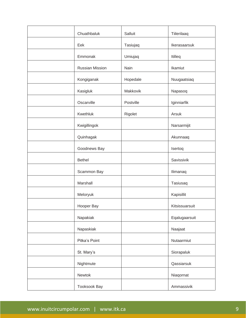| Chuathbaluk         | Salluit   | Tiilerilaaq    |
|---------------------|-----------|----------------|
| Eek                 | Tasiujaq  | Ikerasaarsuk   |
| Emmonak             | Umiujaq   | Itilleq        |
| Russian Mission     | Nain      | Ikamiut        |
| Kongiganak          | Hopedale  | Nuugaatsiaq    |
| Kasigluk            | Makkovik  | Napasoq        |
| Oscarville          | Postville | Iginniarfik    |
| Kwethluk            | Rigolet   | Arsuk          |
| Kwigillingok        |           | Narsarmijit    |
| Quinhagak           |           | Akunnaaq       |
| Goodnews Bay        |           | Isertoq        |
| <b>Bethel</b>       |           | Savissivik     |
| Scammon Bay         |           | Ilimanaq       |
| Marshall            |           | Tasiusaq       |
| Meloryuk            |           | Kapisillit     |
| Hooper Bay          |           | Kitsissuarsuit |
| Napakiak            |           | Eqalugaarsuit  |
| Napaskiak           |           | Naajaat        |
| Pitka's Point       |           | Nutaarmiut     |
| St. Mary's          |           | Siorapaluk     |
| Nightmute           |           | Qassiarsuk     |
| Newtok              |           | Niaqornat      |
| <b>Tooksook Bay</b> |           | Ammassivik     |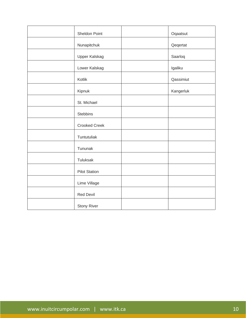| Sheldon Point        | Oqaatsut  |
|----------------------|-----------|
| Nunapitchuk          | Qeqertat  |
| Upper Kalskag        | Saarloq   |
| Lower Kalskag        | Igaliku   |
| Kotlik               | Qassimiut |
| Kipnuk               | Kangerluk |
| St. Michael          |           |
| <b>Stebbins</b>      |           |
| <b>Crooked Creek</b> |           |
| Tuntutuliak          |           |
| Tununak              |           |
| Tuluksak             |           |
| <b>Pilot Station</b> |           |
| Lime Village         |           |
| <b>Red Devil</b>     |           |
| <b>Stony River</b>   |           |